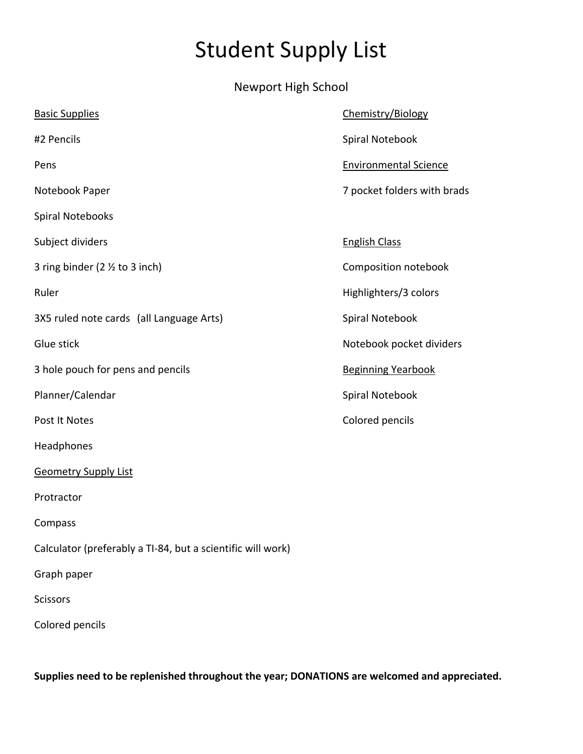## Student Supply List

Newport High School

| <b>Basic Supplies</b>                                       | Chemistry/Biology            |
|-------------------------------------------------------------|------------------------------|
| #2 Pencils                                                  | Spiral Notebook              |
| Pens                                                        | <b>Environmental Science</b> |
| Notebook Paper                                              | 7 pocket folders with brads  |
| Spiral Notebooks                                            |                              |
| Subject dividers                                            | <b>English Class</b>         |
| 3 ring binder ( $2 \frac{1}{2}$ to 3 inch)                  | Composition notebook         |
| Ruler                                                       | Highlighters/3 colors        |
| 3X5 ruled note cards (all Language Arts)                    | Spiral Notebook              |
| Glue stick                                                  | Notebook pocket dividers     |
| 3 hole pouch for pens and pencils                           | <b>Beginning Yearbook</b>    |
| Planner/Calendar                                            | Spiral Notebook              |
| Post It Notes                                               | Colored pencils              |
| Headphones                                                  |                              |
| <b>Geometry Supply List</b>                                 |                              |
| Protractor                                                  |                              |
| Compass                                                     |                              |
| Calculator (preferably a TI-84, but a scientific will work) |                              |
| Graph paper                                                 |                              |
| <b>Scissors</b>                                             |                              |
| Colored pencils                                             |                              |

**Supplies need to be replenished throughout the year; DONATIONS are welcomed and appreciated.**